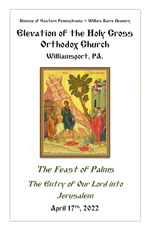Diocese of Eastern Pennsylvania **+** Wilkes-Barre Deanery

## Elevation of the Holy Cross Orthodox Church Williamsport, PA.



# The Feast of Palms The Entry of Our Lord into Jerusalem April 17 th, 2022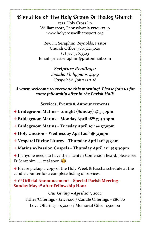## Elevation of the Holy Cross Orthodox Church

1725 Holy Cross Ln Williamsport, Pennsylvania 17701-2749 www.holycrosswilliamsport.org

Rev. Fr. Seraphim Reynolds, Pastor Church Office: 570.322.3020 (c) 717.576.3503 Email: priestseraphim@protonmail.com

> *Scripture Readings: Epistle: Philippians 4:4-9 Gospel: St. John 12:1-18*

*A warm welcome to everyone this morning! Please join us for some fellowship after in the Parish Hall!*

**Services, Events & Announcements**

- + **Bridegroom Matins – tonight (Sunday) @ 5:30pm**
- + **Bridegroom Matins – Monday April 18th @ 5:30pm**
- + **Bridegroom Matins – Tuesday April 19th @ 5:30pm**
- + **Holy Unction – Wednesday April 20th @ 5:30pm**
- + **Vesperal Divine Liturgy – Thursday April 21st @ 9am**
- + **Matins w/Passion Gospels – Thursday April 21st @ 5:30pm**

+ If anyone needs to have their Lenten Confession heard, please see Fr Seraphim . . . real soon  $\circledcirc$ 

+ Please pickup a copy of the Holy Week & Pascha schedule at the candle counter for a complete listing of services.

+ **1 st Official Announcement – Special Parish Meeting – Sunday May 1st after Fellowship Hour**

### *Our Giving – April 10th , 2022*

Tithes/Offerings - \$2,281.00 / Candle Offerings – \$86.80 Love Offerings - \$50.00 / Memorial Gifts - \$500.00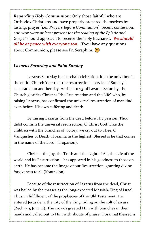*Regarding Holy Communion***:** Only those faithful who are Orthodox Christians and have properly prepared themselves by fasting, prayer [i.e., *Prayers Before Communion*], recent confession, and who were *at least present for the reading of the Epistle and Gospel* should approach to receive the Holy Eucharist. *We should all be at peace with everyone too***.** If you have any questions about Communion, please see Fr. Seraphim.  $\odot$ 

#### *Lazarus Saturday and Palm Sunday*

Lazarus Saturday is a paschal celebration. It is the only time in the entire Church Year that the resurrectional service of Sunday is celebrated on another day. At the liturgy of Lazarus Saturday, the Church glorifies Christ as "the Resurrection and the Life" who, by raising Lazarus, has confirmed the universal resurrection of mankind even before His own suffering and death.

By raising Lazarus from the dead before Thy passion, Thou didst confirm the universal resurrection, O Christ God! Like the children with the branches of victory, we cry out to Thee, O Vanquisher of Death: Hosanna in the highest! Blessed is he that comes in the name of the Lord! (Troparion).

Christ —the Joy, the Truth and the Light of All, the Life of the world and its Resurrection—has appeared in his goodness to those on earth. He has become the Image of our Resurrection, granting divine forgiveness to all (Kontakion).

Because of the resurrection of Lazarus from the dead, Christ was hailed by the masses as the long-expected Messiah-King of Israel. Thus, in fulfillment of the prophecies of the Old Testament, He entered Jerusalem, the City of the King, riding on the colt of an ass (Zech 9.9; Jn 12.12). The crowds greeted Him with branches in their hands and called out to Him with shouts of praise: Hosanna! Blessed is